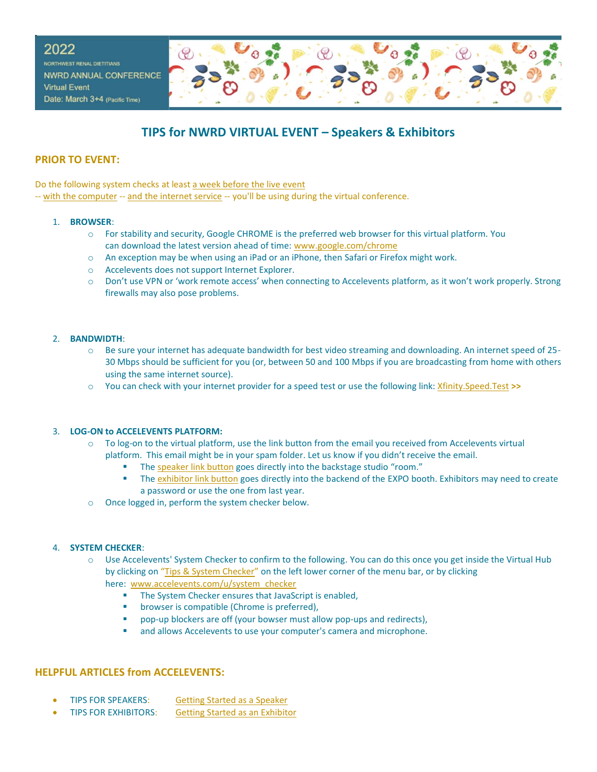

# **TIPS for NWRD VIRTUAL EVENT – Speakers & Exhibitors**

# **PRIOR TO EVENT:**

Do the following system checks at least a week before the live event

-- with the computer -- and the internet service -- you'll be using during the virtual conference.

### 1. **BROWSER**:

- o For stability and security, Google CHROME is the preferred web browser for this virtual platform. You can download the latest version ahead of time: [www.google.com/chrome](https://www.google.com/chrome/)
- o An exception may be when using an iPad or an iPhone, then Safari or Firefox might work.
- o Accelevents does not support Internet Explorer.
- o Don't use VPN or 'work remote access' when connecting to Accelevents platform, as it won't work properly. Strong firewalls may also pose problems.

### 2. **BANDWIDTH**:

- o Be sure your internet has adequate bandwidth for best video streaming and downloading. An internet speed of 25- 30 Mbps should be sufficient for you (or, between 50 and 100 Mbps if you are broadcasting from home with others using the same internet source).
- o You can check with your internet provider for a speed test or use the following link: [Xfinity.Speed.Test](https://speedtest.xfinity.com/) **>>**

## 3. **LOG-ON to ACCELEVENTS PLATFORM:**

- o To log-on to the virtual platform, use the link button from the email you received from Accelevents virtual platform. This email might be in your spam folder. Let us know if you didn't receive the email.
	- The speaker link button goes directly into the backstage studio "room."
	- **.** The exhibitor link button goes directly into the backend of the EXPO booth. Exhibitors may need to create a password or use the one from last year.
- o Once logged in, perform the system checker below.

#### 4. **SYSTEM CHECKER**:

- o Use Accelevents' System Checker to confirm to the following. You can do this once you get inside the Virtual Hub by clicking on "Tips & System Checker" on the left lower corner of the menu bar, or by clicking here: [www.accelevents.com/u/system\\_checker](https://www.accelevents.com/u/system_checker) 
	- **·** The System Checker ensures that JavaScript is enabled,
	- **■** browser is compatible (Chrome is preferred),
	- pop-up blockers are off (your bowser must allow pop-ups and redirects),
	- and allows Accelevents to use your computer's camera and microphone.

## **HELPFUL ARTICLES from ACCELEVENTS:**

- TIPS FOR SPEAKERS: Getting Started as a [Speaker](https://support.accelevents.com/en/articles/3992320-i-m-a-speaker-in-a-session-what-do-i-do)
- TIPS FOR EXHIBITORS: Getting Started as an [Exhibitor](https://support.accelevents.com/en/articles/4009021-i-m-an-exhibitor-at-a-virtual-event-what-do-i-do)